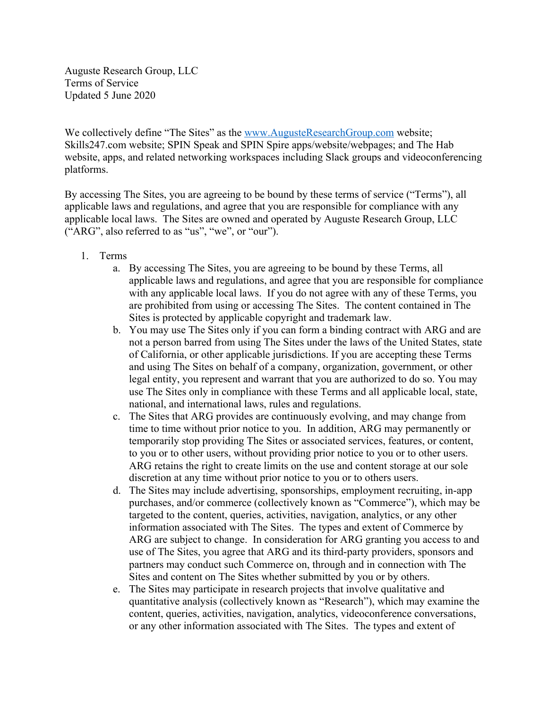Auguste Research Group, LLC Terms of Service Updated 5 June 2020

We collectively define "The Sites" as the www.AugusteResearchGroup.com website; Skills247.com website; SPIN Speak and SPIN Spire apps/website/webpages; and The Hab website, apps, and related networking workspaces including Slack groups and videoconferencing platforms.

By accessing The Sites, you are agreeing to be bound by these terms of service ("Terms"), all applicable laws and regulations, and agree that you are responsible for compliance with any applicable local laws. The Sites are owned and operated by Auguste Research Group, LLC ("ARG", also referred to as "us", "we", or "our").

- 1. Terms
	- a. By accessing The Sites, you are agreeing to be bound by these Terms, all applicable laws and regulations, and agree that you are responsible for compliance with any applicable local laws. If you do not agree with any of these Terms, you are prohibited from using or accessing The Sites. The content contained in The Sites is protected by applicable copyright and trademark law.
	- b. You may use The Sites only if you can form a binding contract with ARG and are not a person barred from using The Sites under the laws of the United States, state of California, or other applicable jurisdictions. If you are accepting these Terms and using The Sites on behalf of a company, organization, government, or other legal entity, you represent and warrant that you are authorized to do so. You may use The Sites only in compliance with these Terms and all applicable local, state, national, and international laws, rules and regulations.
	- c. The Sites that ARG provides are continuously evolving, and may change from time to time without prior notice to you. In addition, ARG may permanently or temporarily stop providing The Sites or associated services, features, or content, to you or to other users, without providing prior notice to you or to other users. ARG retains the right to create limits on the use and content storage at our sole discretion at any time without prior notice to you or to others users.
	- d. The Sites may include advertising, sponsorships, employment recruiting, in-app purchases, and/or commerce (collectively known as "Commerce"), which may be targeted to the content, queries, activities, navigation, analytics, or any other information associated with The Sites. The types and extent of Commerce by ARG are subject to change. In consideration for ARG granting you access to and use of The Sites, you agree that ARG and its third-party providers, sponsors and partners may conduct such Commerce on, through and in connection with The Sites and content on The Sites whether submitted by you or by others.
	- e. The Sites may participate in research projects that involve qualitative and quantitative analysis (collectively known as "Research"), which may examine the content, queries, activities, navigation, analytics, videoconference conversations, or any other information associated with The Sites. The types and extent of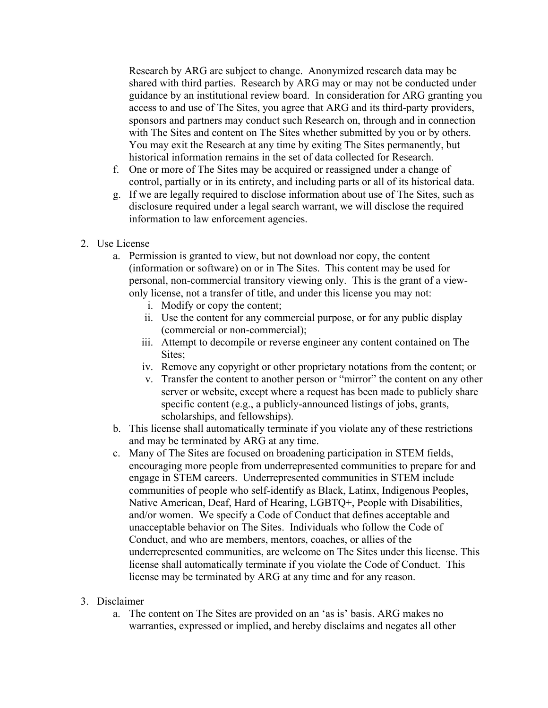Research by ARG are subject to change. Anonymized research data may be shared with third parties. Research by ARG may or may not be conducted under guidance by an institutional review board. In consideration for ARG granting you access to and use of The Sites, you agree that ARG and its third-party providers, sponsors and partners may conduct such Research on, through and in connection with The Sites and content on The Sites whether submitted by you or by others. You may exit the Research at any time by exiting The Sites permanently, but historical information remains in the set of data collected for Research.

- f. One or more of The Sites may be acquired or reassigned under a change of control, partially or in its entirety, and including parts or all of its historical data.
- g. If we are legally required to disclose information about use of The Sites, such as disclosure required under a legal search warrant, we will disclose the required information to law enforcement agencies.
- 2. Use License
	- a. Permission is granted to view, but not download nor copy, the content (information or software) on or in The Sites. This content may be used for personal, non-commercial transitory viewing only. This is the grant of a viewonly license, not a transfer of title, and under this license you may not:
		- i. Modify or copy the content;
		- ii. Use the content for any commercial purpose, or for any public display (commercial or non-commercial);
		- iii. Attempt to decompile or reverse engineer any content contained on The Sites;
		- iv. Remove any copyright or other proprietary notations from the content; or
		- v. Transfer the content to another person or "mirror" the content on any other server or website, except where a request has been made to publicly share specific content (e.g., a publicly-announced listings of jobs, grants, scholarships, and fellowships).
	- b. This license shall automatically terminate if you violate any of these restrictions and may be terminated by ARG at any time.
	- c. Many of The Sites are focused on broadening participation in STEM fields, encouraging more people from underrepresented communities to prepare for and engage in STEM careers. Underrepresented communities in STEM include communities of people who self-identify as Black, Latinx, Indigenous Peoples, Native American, Deaf, Hard of Hearing, LGBTQ+, People with Disabilities, and/or women. We specify a Code of Conduct that defines acceptable and unacceptable behavior on The Sites. Individuals who follow the Code of Conduct, and who are members, mentors, coaches, or allies of the underrepresented communities, are welcome on The Sites under this license. This license shall automatically terminate if you violate the Code of Conduct. This license may be terminated by ARG at any time and for any reason.

### 3. Disclaimer

a. The content on The Sites are provided on an 'as is' basis. ARG makes no warranties, expressed or implied, and hereby disclaims and negates all other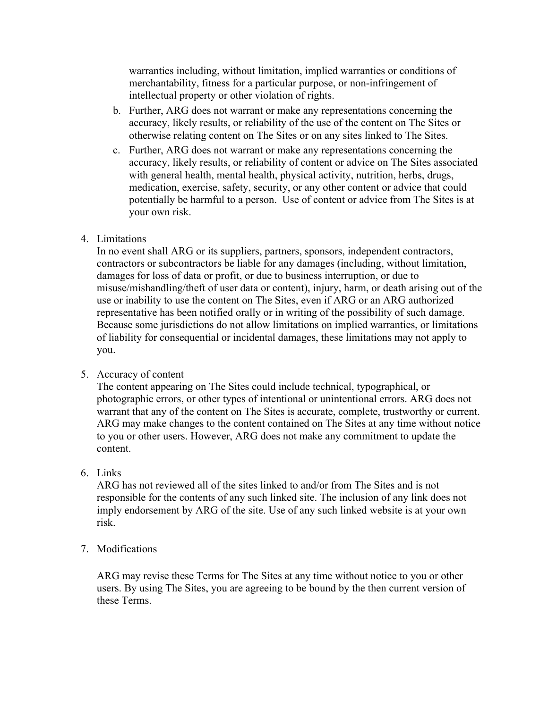warranties including, without limitation, implied warranties or conditions of merchantability, fitness for a particular purpose, or non-infringement of intellectual property or other violation of rights.

- b. Further, ARG does not warrant or make any representations concerning the accuracy, likely results, or reliability of the use of the content on The Sites or otherwise relating content on The Sites or on any sites linked to The Sites.
- c. Further, ARG does not warrant or make any representations concerning the accuracy, likely results, or reliability of content or advice on The Sites associated with general health, mental health, physical activity, nutrition, herbs, drugs, medication, exercise, safety, security, or any other content or advice that could potentially be harmful to a person. Use of content or advice from The Sites is at your own risk.

# 4. Limitations

In no event shall ARG or its suppliers, partners, sponsors, independent contractors, contractors or subcontractors be liable for any damages (including, without limitation, damages for loss of data or profit, or due to business interruption, or due to misuse/mishandling/theft of user data or content), injury, harm, or death arising out of the use or inability to use the content on The Sites, even if ARG or an ARG authorized representative has been notified orally or in writing of the possibility of such damage. Because some jurisdictions do not allow limitations on implied warranties, or limitations of liability for consequential or incidental damages, these limitations may not apply to you.

### 5. Accuracy of content

The content appearing on The Sites could include technical, typographical, or photographic errors, or other types of intentional or unintentional errors. ARG does not warrant that any of the content on The Sites is accurate, complete, trustworthy or current. ARG may make changes to the content contained on The Sites at any time without notice to you or other users. However, ARG does not make any commitment to update the content.

# 6. Links

ARG has not reviewed all of the sites linked to and/or from The Sites and is not responsible for the contents of any such linked site. The inclusion of any link does not imply endorsement by ARG of the site. Use of any such linked website is at your own risk.

# 7. Modifications

ARG may revise these Terms for The Sites at any time without notice to you or other users. By using The Sites, you are agreeing to be bound by the then current version of these Terms.